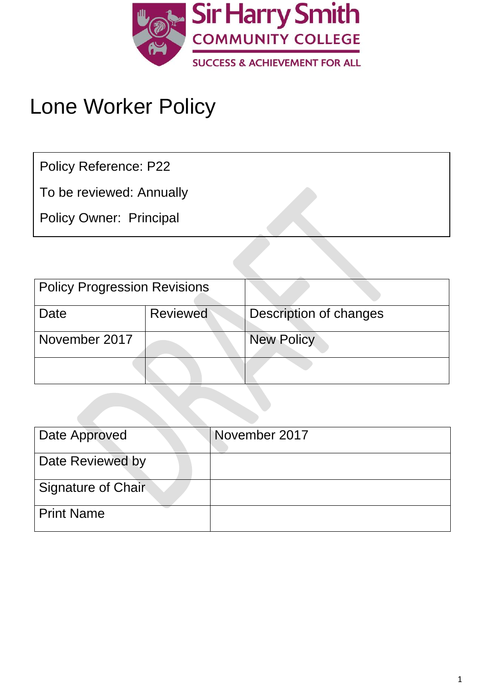

# Lone Worker Policy

Policy Reference: P22

To be reviewed: Annually

Policy Owner: Principal

| <b>Policy Progression Revisions</b> |                 |                        |
|-------------------------------------|-----------------|------------------------|
| Date                                | <b>Reviewed</b> | Description of changes |
| November 2017                       |                 | <b>New Policy</b>      |
|                                     |                 |                        |

| Date Approved             | November 2017 |
|---------------------------|---------------|
| Date Reviewed by          |               |
| <b>Signature of Chair</b> |               |
| <b>Print Name</b>         |               |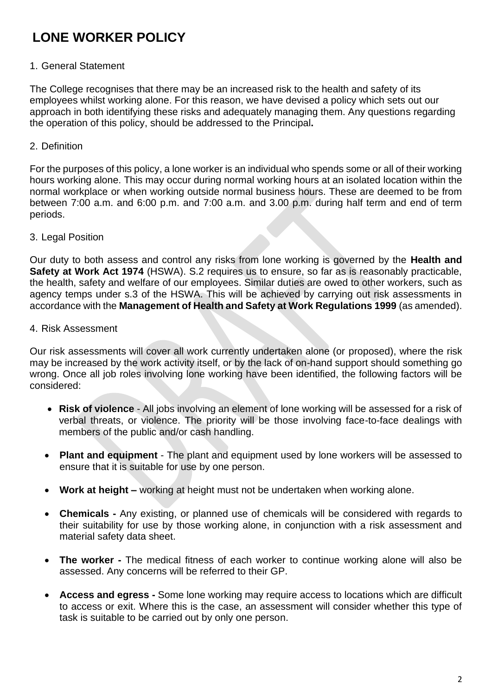# **LONE WORKER POLICY**

#### 1. General Statement

The College recognises that there may be an increased risk to the health and safety of its employees whilst working alone. For this reason, we have devised a policy which sets out our approach in both identifying these risks and adequately managing them. Any questions regarding the operation of this policy, should be addressed to the Principal**.**

#### 2. Definition

For the purposes of this policy, a lone worker is an individual who spends some or all of their working hours working alone. This may occur during normal working hours at an isolated location within the normal workplace or when working outside normal business hours. These are deemed to be from between 7:00 a.m. and 6:00 p.m. and 7:00 a.m. and 3.00 p.m. during half term and end of term periods.

#### 3. Legal Position

Our duty to both assess and control any risks from lone working is governed by the **Health and Safety at Work Act 1974** (HSWA). S.2 requires us to ensure, so far as is reasonably practicable, the health, safety and welfare of our employees. Similar duties are owed to other workers, such as agency temps under s.3 of the HSWA. This will be achieved by carrying out risk assessments in accordance with the **Management of Health and Safety at Work Regulations 1999** (as amended).

#### 4. Risk Assessment

Our risk assessments will cover all work currently undertaken alone (or proposed), where the risk may be increased by the work activity itself, or by the lack of on-hand support should something go wrong. Once all job roles involving lone working have been identified, the following factors will be considered:

- **Risk of violence**  All jobs involving an element of lone working will be assessed for a risk of verbal threats, or violence. The priority will be those involving face-to-face dealings with members of the public and/or cash handling.
- **Plant and equipment**  The plant and equipment used by lone workers will be assessed to ensure that it is suitable for use by one person.
- **Work at height –** working at height must not be undertaken when working alone.
- **Chemicals -** Any existing, or planned use of chemicals will be considered with regards to their suitability for use by those working alone, in conjunction with a risk assessment and material safety data sheet.
- **The worker -** The medical fitness of each worker to continue working alone will also be assessed. Any concerns will be referred to their GP.
- **Access and egress -** Some lone working may require access to locations which are difficult to access or exit. Where this is the case, an assessment will consider whether this type of task is suitable to be carried out by only one person.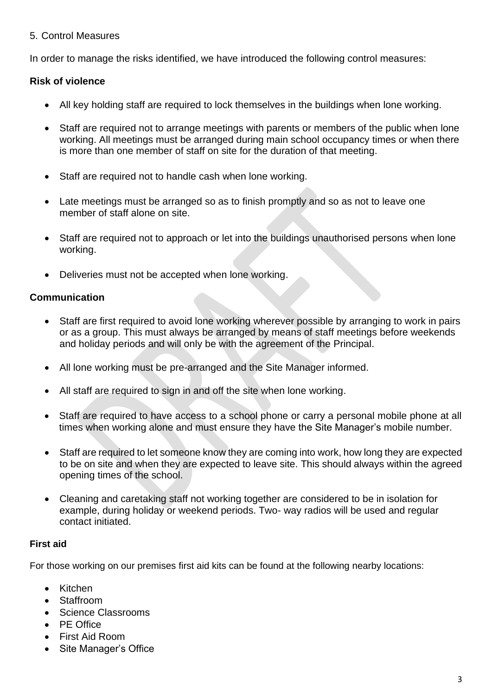#### 5. Control Measures

In order to manage the risks identified, we have introduced the following control measures:

#### **Risk of violence**

- All key holding staff are required to lock themselves in the buildings when lone working.
- Staff are required not to arrange meetings with parents or members of the public when lone working. All meetings must be arranged during main school occupancy times or when there is more than one member of staff on site for the duration of that meeting.
- Staff are required not to handle cash when lone working.
- Late meetings must be arranged so as to finish promptly and so as not to leave one member of staff alone on site.
- Staff are required not to approach or let into the buildings unauthorised persons when lone working.
- Deliveries must not be accepted when lone working.

#### **Communication**

- Staff are first required to avoid lone working wherever possible by arranging to work in pairs or as a group. This must always be arranged by means of staff meetings before weekends and holiday periods and will only be with the agreement of the Principal.
- All lone working must be pre-arranged and the Site Manager informed.
- All staff are required to sign in and off the site when lone working.
- Staff are required to have access to a school phone or carry a personal mobile phone at all times when working alone and must ensure they have the Site Manager's mobile number.
- Staff are required to let someone know they are coming into work, how long they are expected to be on site and when they are expected to leave site. This should always within the agreed opening times of the school.
- Cleaning and caretaking staff not working together are considered to be in isolation for example, during holiday or weekend periods. Two- way radios will be used and regular contact initiated.

#### **First aid**

For those working on our premises first aid kits can be found at the following nearby locations:

- Kitchen
- Staffroom
- Science Classrooms
- PE Office
- First Aid Room
- Site Manager's Office